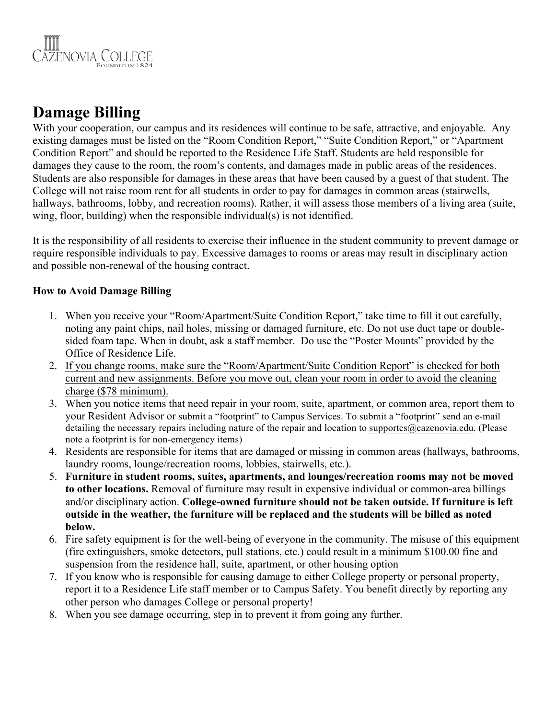

## **Damage Billing**

With your cooperation, our campus and its residences will continue to be safe, attractive, and enjoyable. Any existing damages must be listed on the "Room Condition Report," "Suite Condition Report," or "Apartment Condition Report" and should be reported to the Residence Life Staff. Students are held responsible for damages they cause to the room, the room's contents, and damages made in public areas of the residences. Students are also responsible for damages in these areas that have been caused by a guest of that student. The College will not raise room rent for all students in order to pay for damages in common areas (stairwells, hallways, bathrooms, lobby, and recreation rooms). Rather, it will assess those members of a living area (suite, wing, floor, building) when the responsible individual(s) is not identified.

It is the responsibility of all residents to exercise their influence in the student community to prevent damage or require responsible individuals to pay. Excessive damages to rooms or areas may result in disciplinary action and possible non-renewal of the housing contract.

## **How to Avoid Damage Billing**

- 1. When you receive your "Room/Apartment/Suite Condition Report," take time to fill it out carefully, noting any paint chips, nail holes, missing or damaged furniture, etc. Do not use duct tape or doublesided foam tape. When in doubt, ask a staff member. Do use the "Poster Mounts" provided by the Office of Residence Life.
- 2. If you change rooms, make sure the "Room/Apartment/Suite Condition Report" is checked for both current and new assignments. Before you move out, clean your room in order to avoid the cleaning charge (\$78 minimum).
- 3. When you notice items that need repair in your room, suite, apartment, or common area, report them to your Resident Advisor or submit a "footprint" to Campus Services. To submit a "footprint" send an e-mail detailing the necessary repairs including nature of the repair and location to supportcs@cazenovia.edu. (Please note a footprint is for non-emergency items)
- 4. Residents are responsible for items that are damaged or missing in common areas (hallways, bathrooms, laundry rooms, lounge/recreation rooms, lobbies, stairwells, etc.).
- 5. **Furniture in student rooms, suites, apartments, and lounges/recreation rooms may not be moved to other locations.** Removal of furniture may result in expensive individual or common-area billings and/or disciplinary action. **College-owned furniture should not be taken outside. If furniture is left outside in the weather, the furniture will be replaced and the students will be billed as noted below.**
- 6. Fire safety equipment is for the well-being of everyone in the community. The misuse of this equipment (fire extinguishers, smoke detectors, pull stations, etc.) could result in a minimum \$100.00 fine and suspension from the residence hall, suite, apartment, or other housing option
- 7. If you know who is responsible for causing damage to either College property or personal property, report it to a Residence Life staff member or to Campus Safety. You benefit directly by reporting any other person who damages College or personal property!
- 8. When you see damage occurring, step in to prevent it from going any further.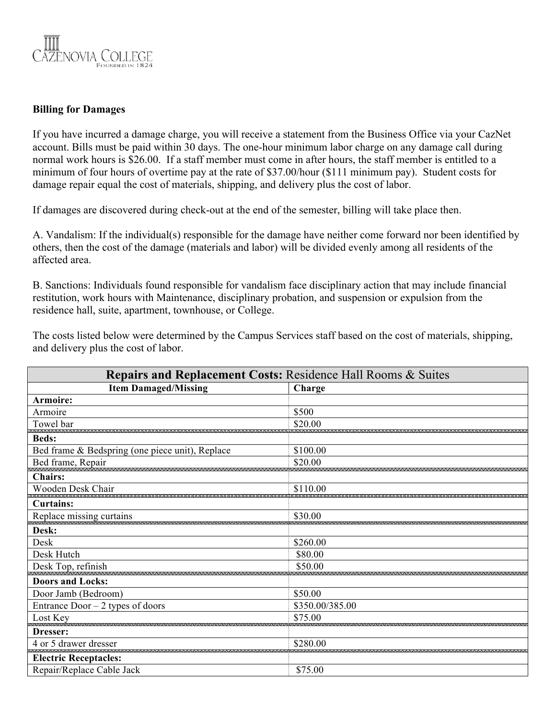

## **Billing for Damages**

If you have incurred a damage charge, you will receive a statement from the Business Office via your CazNet account. Bills must be paid within 30 days. The one-hour minimum labor charge on any damage call during normal work hours is \$26.00. If a staff member must come in after hours, the staff member is entitled to a minimum of four hours of overtime pay at the rate of \$37.00/hour (\$111 minimum pay). Student costs for damage repair equal the cost of materials, shipping, and delivery plus the cost of labor.

If damages are discovered during check-out at the end of the semester, billing will take place then.

A. Vandalism: If the individual(s) responsible for the damage have neither come forward nor been identified by others, then the cost of the damage (materials and labor) will be divided evenly among all residents of the affected area.

B. Sanctions: Individuals found responsible for vandalism face disciplinary action that may include financial restitution, work hours with Maintenance, disciplinary probation, and suspension or expulsion from the residence hall, suite, apartment, townhouse, or College.

The costs listed below were determined by the Campus Services staff based on the cost of materials, shipping, and delivery plus the cost of labor.

| <b>Repairs and Replacement Costs: Residence Hall Rooms &amp; Suites</b> |                 |  |
|-------------------------------------------------------------------------|-----------------|--|
| <b>Item Damaged/Missing</b>                                             | Charge          |  |
| Armoire:                                                                |                 |  |
| Armoire                                                                 | \$500           |  |
| Towel bar                                                               | \$20.00         |  |
| <b>Beds:</b>                                                            |                 |  |
| Bed frame & Bedspring (one piece unit), Replace                         | \$100.00        |  |
| Bed frame, Repair                                                       | \$20.00         |  |
| <b>Chairs:</b>                                                          |                 |  |
| Wooden Desk Chair                                                       | \$110.00        |  |
| <b>Curtains:</b>                                                        |                 |  |
| Replace missing curtains                                                | \$30.00         |  |
| Desk:                                                                   |                 |  |
| Desk                                                                    | \$260.00        |  |
| Desk Hutch                                                              | \$80.00         |  |
| Desk Top, refinish                                                      | \$50.00         |  |
| <b>Doors and Locks:</b>                                                 |                 |  |
| Door Jamb (Bedroom)                                                     | \$50.00         |  |
| Entrance $Door - 2$ types of $\overline{ doors}$                        | \$350.00/385.00 |  |
| Lost Key                                                                | \$75.00         |  |
| Dresser:                                                                |                 |  |
| 4 or 5 drawer dresser                                                   | \$280.00        |  |
| <b>Electric Receptacles:</b>                                            |                 |  |
| Repair/Replace Cable Jack                                               | \$75.00         |  |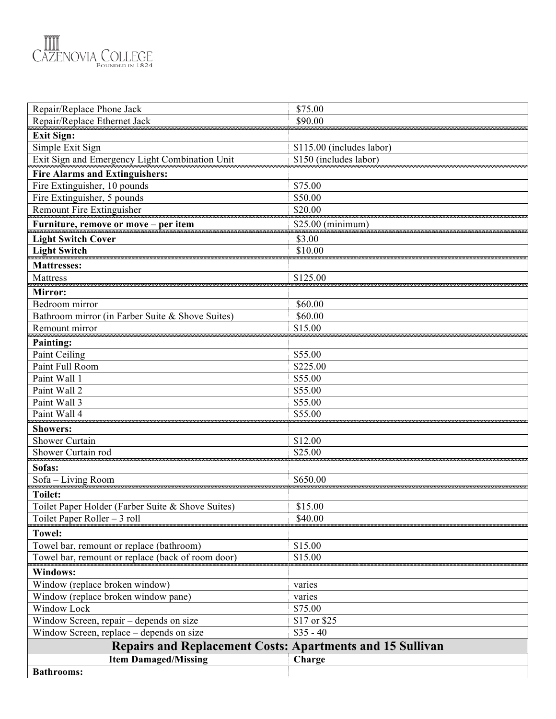

| Repair/Replace Phone Jack                                        | \$75.00                   |  |
|------------------------------------------------------------------|---------------------------|--|
| Repair/Replace Ethernet Jack                                     | \$90.00                   |  |
| <b>Exit Sign:</b>                                                |                           |  |
| Simple Exit Sign                                                 | \$115.00 (includes labor) |  |
| Exit Sign and Emergency Light Combination Unit                   | \$150 (includes labor)    |  |
| <b>Fire Alarms and Extinguishers:</b>                            |                           |  |
| Fire Extinguisher, 10 pounds                                     | \$75.00                   |  |
| Fire Extinguisher, 5 pounds                                      | \$50.00                   |  |
| Remount Fire Extinguisher                                        | \$20.00                   |  |
| Furniture, remove or move – per item                             | $$25.00$ (minimum)        |  |
| <b>Light Switch Cover</b>                                        | \$3.00                    |  |
| Light Switch                                                     | \$10.00                   |  |
| <b>Mattresses:</b>                                               |                           |  |
| Mattress                                                         | \$125.00                  |  |
| Mirror:                                                          |                           |  |
| Bedroom mirror                                                   | \$60.00                   |  |
| Bathroom mirror (in Farber Suite & Shove Suites)                 | \$60.00                   |  |
| Remount mirror                                                   | \$15.00                   |  |
| <b>Painting:</b>                                                 |                           |  |
| Paint Ceiling                                                    | \$55.00                   |  |
| Paint Full Room                                                  | \$225.00                  |  |
| Paint Wall 1                                                     | \$55.00                   |  |
| Paint Wall 2                                                     | \$55.00                   |  |
| Paint Wall 3                                                     | \$55.00                   |  |
| Paint Wall 4                                                     | \$55.00                   |  |
| <b>Showers:</b>                                                  |                           |  |
| Shower Curtain                                                   | \$12.00                   |  |
| Shower Curtain rod                                               | \$25.00                   |  |
| Sofas:                                                           |                           |  |
| Sofa - Living Room                                               | \$650.00                  |  |
| <b>Toilet:</b>                                                   |                           |  |
| Toilet Paper Holder (Farber Suite & Shove Suites)                | \$15.00                   |  |
| Toilet Paper Roller - 3 roll                                     | \$40.00                   |  |
| <b>Towel:</b>                                                    |                           |  |
| Towel bar, remount or replace (bathroom)                         | \$15.00                   |  |
| Towel bar, remount or replace (back of room door)                | \$15.00                   |  |
| Windows:                                                         |                           |  |
| Window (replace broken window)                                   | varies                    |  |
| Window (replace broken window pane)                              | varies                    |  |
| Window Lock                                                      | \$75.00                   |  |
| Window Screen, repair – depends on size                          | \$17 or \$25              |  |
| Window Screen, replace – depends on size                         | $$35 - 40$                |  |
| <b>Repairs and Replacement Costs: Apartments and 15 Sullivan</b> |                           |  |
| <b>Item Damaged/Missing</b>                                      | Charge                    |  |
| <b>Bathrooms:</b>                                                |                           |  |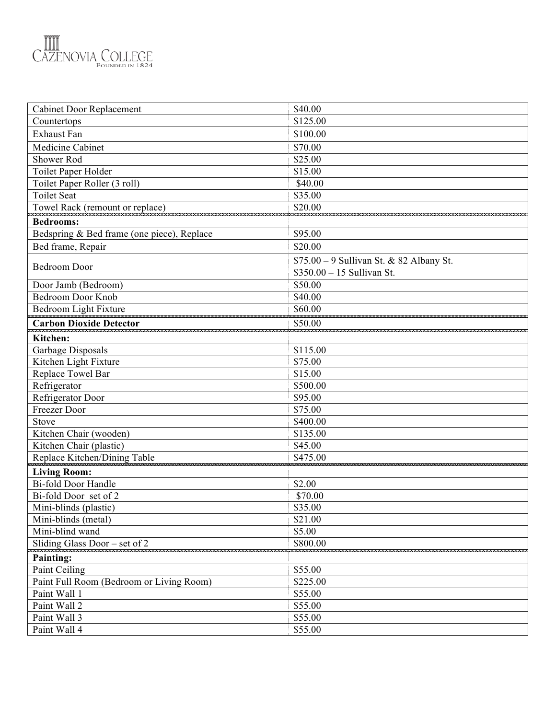

| <b>Cabinet Door Replacement</b>            | \$40.00                                  |
|--------------------------------------------|------------------------------------------|
| Countertops                                | \$125.00                                 |
| <b>Exhaust Fan</b>                         | \$100.00                                 |
| Medicine Cabinet                           | \$70.00                                  |
| Shower Rod                                 | \$25.00                                  |
| Toilet Paper Holder                        | \$15.00                                  |
| Toilet Paper Roller (3 roll)               | \$40.00                                  |
| <b>Toilet Seat</b>                         | \$35.00                                  |
| Towel Rack (remount or replace)            | \$20.00                                  |
| <b>Bedrooms:</b>                           |                                          |
| Bedspring & Bed frame (one piece), Replace | \$95.00                                  |
| Bed frame, Repair                          | \$20.00                                  |
|                                            | \$75.00 - 9 Sullivan St. & 82 Albany St. |
| <b>Bedroom Door</b>                        | $$350.00 - 15$ Sullivan St.              |
| Door Jamb (Bedroom)                        | \$50.00                                  |
| <b>Bedroom Door Knob</b>                   | \$40.00                                  |
| Bedroom Light Fixture                      | \$60.00                                  |
| <b>Carbon Dioxide Detector</b>             | \$50.00                                  |
| Kitchen:                                   |                                          |
| Garbage Disposals                          | \$115.00                                 |
| Kitchen Light Fixture                      | \$75.00                                  |
| Replace Towel Bar                          | \$15.00                                  |
| Refrigerator                               | \$500.00                                 |
| Refrigerator Door                          | \$95.00                                  |
| Freezer Door                               | \$75.00                                  |
| Stove                                      | \$400.00                                 |
| Kitchen Chair (wooden)                     | \$135.00                                 |
| Kitchen Chair (plastic)                    | \$45.00                                  |
| Replace Kitchen/Dining Table               | \$475.00                                 |
| <b>Living Room:</b>                        |                                          |
| Bi-fold Door Handle                        | \$2.00                                   |
| Bi-fold Door set of 2                      | \$70.00                                  |
| Mini-blinds (plastic)                      | \$35.00                                  |
| Mini-blinds (metal)                        | \$21.00                                  |
| Mini-blind wand                            | \$5.00                                   |
| Sliding Glass Door - set of 2              | \$800.00                                 |
| <b>Painting:</b>                           |                                          |
| Paint Ceiling                              | \$55.00                                  |
| Paint Full Room (Bedroom or Living Room)   | \$225.00                                 |
| Paint Wall 1                               | \$55.00                                  |
| Paint Wall 2                               | \$55.00                                  |
| Paint Wall 3                               | \$55.00                                  |
| Paint Wall 4                               | \$55.00                                  |